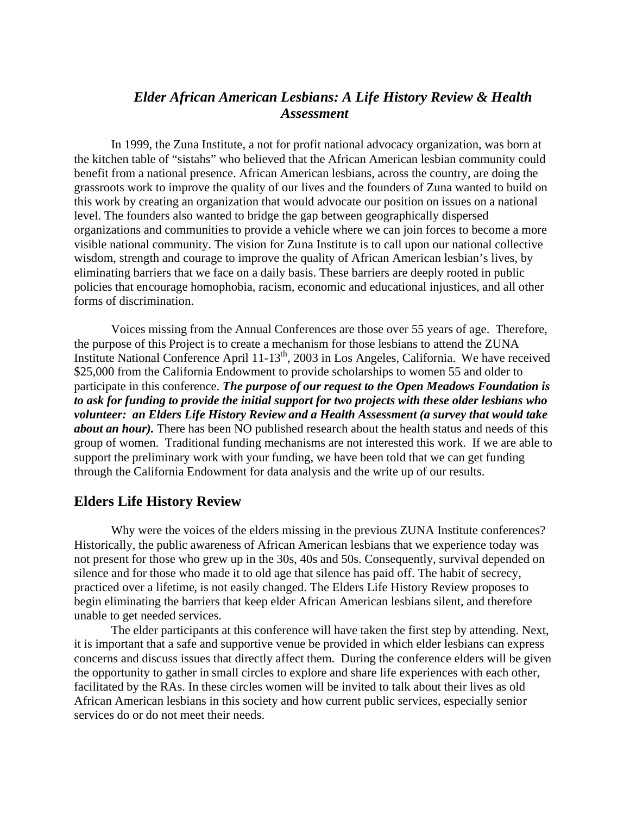# *Elder African American Lesbians: A Life History Review & Health Assessment*

In 1999, the Zuna Institute, a not for profit national advocacy organization, was born at the kitchen table of "sistahs" who believed that the African American lesbian community could benefit from a national presence. African American lesbians, across the country, are doing the grassroots work to improve the quality of our lives and the founders of Zuna wanted to build on this work by creating an organization that would advocate our position on issues on a national level. The founders also wanted to bridge the gap between geographically dispersed organizations and communities to provide a vehicle where we can join forces to become a more visible national community. The vision for Zuna Institute is to call upon our national collective wisdom, strength and courage to improve the quality of African American lesbian's lives, by eliminating barriers that we face on a daily basis. These barriers are deeply rooted in public policies that encourage homophobia, racism, economic and educational injustices, and all other forms of discrimination.

Voices missing from the Annual Conferences are those over 55 years of age. Therefore, the purpose of this Project is to create a mechanism for those lesbians to attend the ZUNA Institute National Conference April 11-13th, 2003 in Los Angeles, California. We have received \$25,000 from the California Endowment to provide scholarships to women 55 and older to participate in this conference. *The purpose of our request to the Open Meadows Foundation is to ask for funding to provide the initial support for two projects with these older lesbians who volunteer: an Elders Life History Review and a Health Assessment (a survey that would take about an hour).* There has been NO published research about the health status and needs of this group of women. Traditional funding mechanisms are not interested this work. If we are able to support the preliminary work with your funding, we have been told that we can get funding through the California Endowment for data analysis and the write up of our results.

#### **Elders Life History Review**

Why were the voices of the elders missing in the previous ZUNA Institute conferences? Historically, the public awareness of African American lesbians that we experience today was not present for those who grew up in the 30s, 40s and 50s. Consequently, survival depended on silence and for those who made it to old age that silence has paid off. The habit of secrecy, practiced over a lifetime, is not easily changed. The Elders Life History Review proposes to begin eliminating the barriers that keep elder African American lesbians silent, and therefore unable to get needed services.

The elder participants at this conference will have taken the first step by attending. Next, it is important that a safe and supportive venue be provided in which elder lesbians can express concerns and discuss issues that directly affect them. During the conference elders will be given the opportunity to gather in small circles to explore and share life experiences with each other, facilitated by the RAs. In these circles women will be invited to talk about their lives as old African American lesbians in this society and how current public services, especially senior services do or do not meet their needs.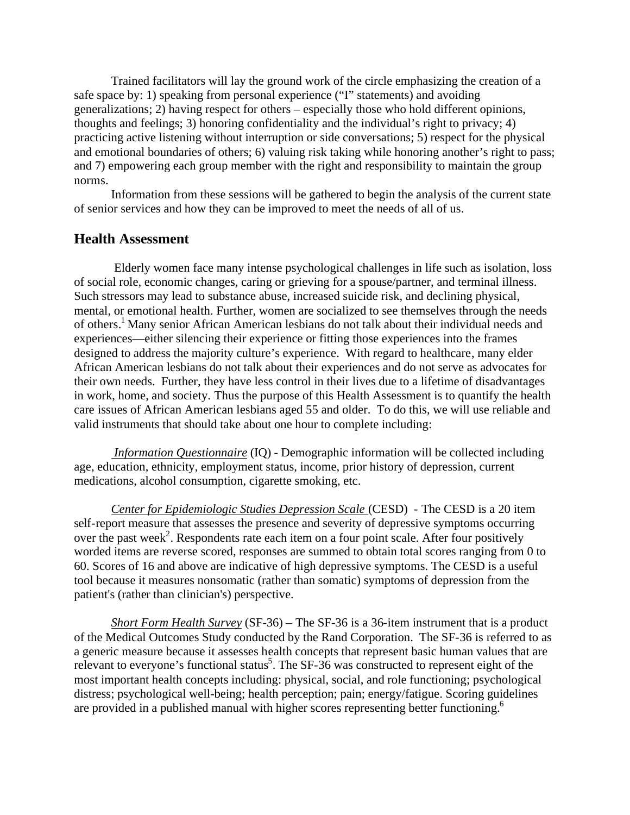Trained facilitators will lay the ground work of the circle emphasizing the creation of a safe space by: 1) speaking from personal experience ("I" statements) and avoiding generalizations; 2) having respect for others – especially those who hold different opinions, thoughts and feelings; 3) honoring confidentiality and the individual's right to privacy; 4) practicing active listening without interruption or side conversations; 5) respect for the physical and emotional boundaries of others; 6) valuing risk taking while honoring another's right to pass; and 7) empowering each group member with the right and responsibility to maintain the group norms.

Information from these sessions will be gathered to begin the analysis of the current state of senior services and how they can be improved to meet the needs of all of us.

### **Health Assessment**

Elderly women face many intense psychological challenges in life such as isolation, loss of social role, economic changes, caring or grieving for a spouse/partner, and terminal illness. Such stressors may lead to substance abuse, increased suicide risk, and declining physical, mental, or emotional health. Further, women are socialized to see themselves through the needs of others.<sup>1</sup> Many senior African American lesbians do not talk about their individual needs and experiences—either silencing their experience or fitting those experiences into the frames designed to address the majority culture's experience. With regard to healthcare, many elder African American lesbians do not talk about their experiences and do not serve as advocates for their own needs. Further, they have less control in their lives due to a lifetime of disadvantages in work, home, and society. Thus the purpose of this Health Assessment is to quantify the health care issues of African American lesbians aged 55 and older. To do this, we will use reliable and valid instruments that should take about one hour to complete including:

 *Information Questionnaire* (IQ) - Demographic information will be collected including age, education, ethnicity, employment status, income, prior history of depression, current medications, alcohol consumption, cigarette smoking, etc.

*Center for Epidemiologic Studies Depression Scale* (CESD) - The CESD is a 20 item self-report measure that assesses the presence and severity of depressive symptoms occurring over the past week<sup>2</sup>. Respondents rate each item on a four point scale. After four positively worded items are reverse scored, responses are summed to obtain total scores ranging from 0 to 60. Scores of 16 and above are indicative of high depressive symptoms. The CESD is a useful tool because it measures nonsomatic (rather than somatic) symptoms of depression from the patient's (rather than clinician's) perspective.

*Short Form Health Survey* (SF-36) – The SF-36 is a 36-item instrument that is a product of the Medical Outcomes Study conducted by the Rand Corporation. The SF-36 is referred to as a generic measure because it assesses health concepts that represent basic human values that are relevant to everyone's functional status<sup>5</sup>. The SF-36 was constructed to represent eight of the most important health concepts including: physical, social, and role functioning; psychological distress; psychological well-being; health perception; pain; energy/fatigue. Scoring guidelines are provided in a published manual with higher scores representing better functioning.<sup>6</sup>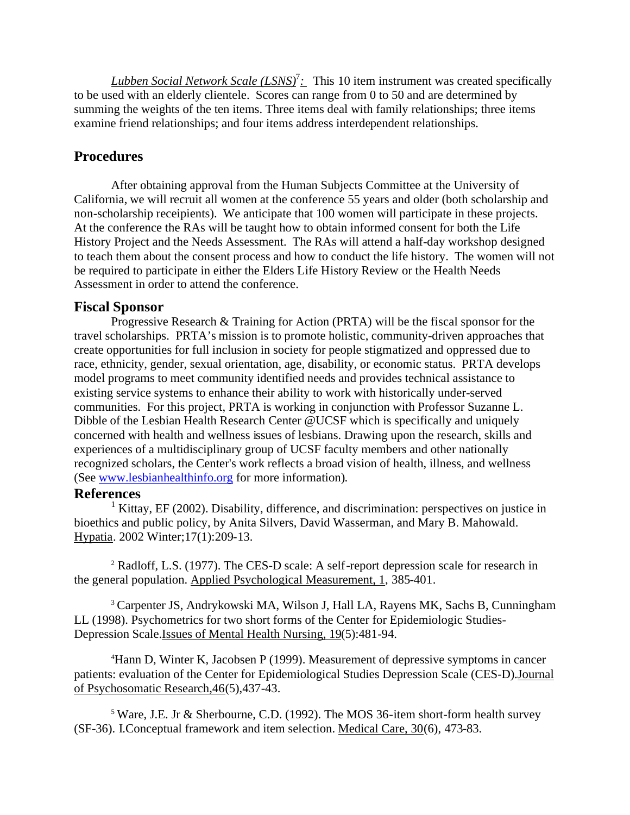*Lubben Social Network Scale (LSNS)*<sup>7</sup>: This 10 item instrument was created specifically to be used with an elderly clientele. Scores can range from 0 to 50 and are determined by summing the weights of the ten items. Three items deal with family relationships; three items examine friend relationships; and four items address interdependent relationships.

## **Procedures**

After obtaining approval from the Human Subjects Committee at the University of California, we will recruit all women at the conference 55 years and older (both scholarship and non-scholarship receipients). We anticipate that 100 women will participate in these projects. At the conference the RAs will be taught how to obtain informed consent for both the Life History Project and the Needs Assessment. The RAs will attend a half-day workshop designed to teach them about the consent process and how to conduct the life history. The women will not be required to participate in either the Elders Life History Review or the Health Needs Assessment in order to attend the conference.

### **Fiscal Sponsor**

Progressive Research & Training for Action (PRTA) will be the fiscal sponsor for the travel scholarships. PRTA's mission is to promote holistic, community-driven approaches that create opportunities for full inclusion in society for people stigmatized and oppressed due to race, ethnicity, gender, sexual orientation, age, disability, or economic status. PRTA develops model programs to meet community identified needs and provides technical assistance to existing service systems to enhance their ability to work with historically under-served communities. For this project, PRTA is working in conjunction with Professor Suzanne L. Dibble of the Lesbian Health Research Center @UCSF which is specifically and uniquely concerned with health and wellness issues of lesbians. Drawing upon the research, skills and experiences of a multidisciplinary group of UCSF faculty members and other nationally recognized scholars, the Center's work reflects a broad vision of health, illness, and wellness (See www.lesbianhealthinfo.org for more information).

#### **References**

<sup>1</sup> Kittay, EF (2002). Disability, difference, and discrimination: perspectives on justice in bioethics and public policy, by Anita Silvers, David Wasserman, and Mary B. Mahowald. Hypatia. 2002 Winter;17(1):209-13.

<sup>2</sup> Radloff, L.S. (1977). The CES-D scale: A self-report depression scale for research in the general population. Applied Psychological Measurement, 1, 385-401.

<sup>3</sup> Carpenter JS, Andrykowski MA, Wilson J, Hall LA, Rayens MK, Sachs B, Cunningham LL (1998). Psychometrics for two short forms of the Center for Epidemiologic Studies-Depression Scale.Issues of Mental Health Nursing, 19(5):481-94.

<sup>4</sup>Hann D, Winter K, Jacobsen P (1999). Measurement of depressive symptoms in cancer patients: evaluation of the Center for Epidemiological Studies Depression Scale (CES-D).Journal of Psychosomatic Research,46(5),437-43.

<sup>5</sup> Ware, J.E. Jr & Sherbourne, C.D. (1992). The MOS 36-item short-form health survey (SF-36). I.Conceptual framework and item selection. Medical Care, 30(6), 473-83.